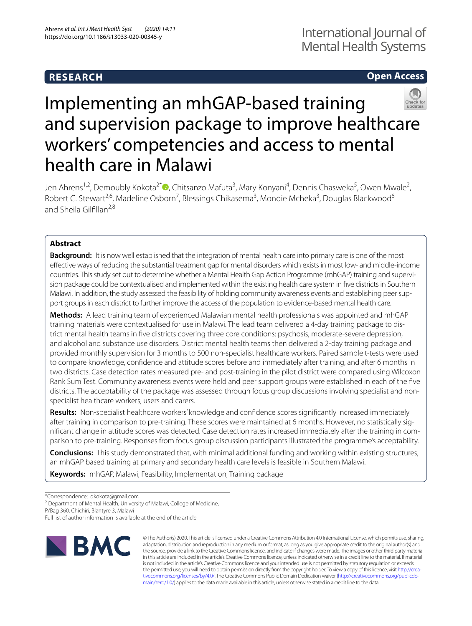# **RESEARCH**

# **Open Access**



# Implementing an mhGAP-based training and supervision package to improve healthcare workers' competencies and access to mental health care in Malawi

Jen Ahrens<sup>1,2</sup>[,](http://orcid.org/0000-0003-2210-9448) Demoubly Kokota<sup>2\*</sup> (D, Chitsanzo Mafuta<sup>3</sup>, Mary Konyani<sup>4</sup>, Dennis Chasweka<sup>5</sup>, Owen Mwale<sup>2</sup>, Robert C. Stewart<sup>2,6</sup>, Madeline Osborn<sup>7</sup>, Blessings Chikasema<sup>3</sup>, Mondie Mcheka<sup>3</sup>, Douglas Blackwood<sup>6</sup> and Sheila Gilfillan<sup>2,8</sup>

# **Abstract**

**Background:** It is now well established that the integration of mental health care into primary care is one of the most efective ways of reducing the substantial treatment gap for mental disorders which exists in most low- and middle-income countries. This study set out to determine whether a Mental Health Gap Action Programme (mhGAP) training and supervision package could be contextualised and implemented within the existing health care system in fve districts in Southern Malawi. In addition, the study assessed the feasibility of holding community awareness events and establishing peer support groups in each district to further improve the access of the population to evidence-based mental health care.

**Methods:** A lead training team of experienced Malawian mental health professionals was appointed and mhGAP training materials were contextualised for use in Malawi. The lead team delivered a 4-day training package to district mental health teams in fve districts covering three core conditions: psychosis, moderate-severe depression, and alcohol and substance use disorders. District mental health teams then delivered a 2-day training package and provided monthly supervision for 3 months to 500 non-specialist healthcare workers. Paired sample t-tests were used to compare knowledge, confdence and attitude scores before and immediately after training, and after 6 months in two districts. Case detection rates measured pre- and post-training in the pilot district were compared using Wilcoxon Rank Sum Test. Community awareness events were held and peer support groups were established in each of the fve districts. The acceptability of the package was assessed through focus group discussions involving specialist and nonspecialist healthcare workers, users and carers.

**Results:** Non-specialist healthcare workers' knowledge and confdence scores signifcantly increased immediately after training in comparison to pre-training. These scores were maintained at 6 months. However, no statistically signifcant change in attitude scores was detected. Case detection rates increased immediately after the training in comparison to pre-training. Responses from focus group discussion participants illustrated the programme's acceptability.

**Conclusions:** This study demonstrated that, with minimal additional funding and working within existing structures, an mhGAP based training at primary and secondary health care levels is feasible in Southern Malawi.

**Keywords:** mhGAP, Malawi, Feasibility, Implementation, Training package

<sup>2</sup> Department of Mental Health, University of Malawi, College of Medicine,

P/Bag 360, Chichiri, Blantyre 3, Malawi

Full list of author information is available at the end of the article



© The Author(s) 2020. This article is licensed under a Creative Commons Attribution 4.0 International License, which permits use, sharing, adaptation, distribution and reproduction in any medium or format, as long as you give appropriate credit to the original author(s) and the source, provide a link to the Creative Commons licence, and indicate if changes were made. The images or other third party material in this article are included in the article's Creative Commons licence, unless indicated otherwise in a credit line to the material. If material is not included in the article's Creative Commons licence and your intended use is not permitted by statutory regulation or exceeds the permitted use, you will need to obtain permission directly from the copyright holder. To view a copy of this licence, visit [http://crea](http://creativecommons.org/licenses/by/4.0/)[tivecommons.org/licenses/by/4.0/.](http://creativecommons.org/licenses/by/4.0/) The Creative Commons Public Domain Dedication waiver ([http://creativecommons.org/publicdo](http://creativecommons.org/publicdomain/zero/1.0/)[main/zero/1.0/\)](http://creativecommons.org/publicdomain/zero/1.0/) applies to the data made available in this article, unless otherwise stated in a credit line to the data.

<sup>\*</sup>Correspondence: dkokota@gmail.com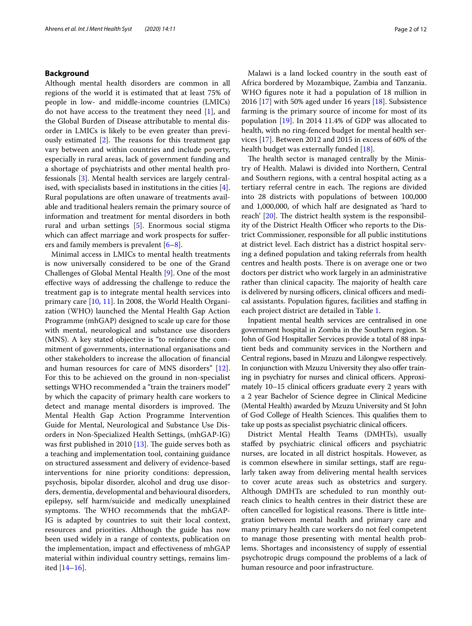## **Background**

Although mental health disorders are common in all regions of the world it is estimated that at least 75% of people in low- and middle-income countries (LMICs) do not have access to the treatment they need [\[1](#page-11-0)], and the Global Burden of Disease attributable to mental disorder in LMICs is likely to be even greater than previously estimated  $[2]$  $[2]$ . The reasons for this treatment gap vary between and within countries and include poverty, especially in rural areas, lack of government funding and a shortage of psychiatrists and other mental health professionals [\[3](#page-11-2)]. Mental health services are largely centralised, with specialists based in institutions in the cities [\[4](#page-11-3)]. Rural populations are often unaware of treatments available and traditional healers remain the primary source of information and treatment for mental disorders in both rural and urban settings [[5](#page-11-4)]. Enormous social stigma which can affect marriage and work prospects for sufferers and family members is prevalent [\[6](#page-11-5)[–8](#page-11-6)].

Minimal access in LMICs to mental health treatments is now universally considered to be one of the Grand Challenges of Global Mental Health [\[9](#page-11-7)]. One of the most efective ways of addressing the challenge to reduce the treatment gap is to integrate mental health services into primary care [\[10](#page-11-8), [11\]](#page-11-9). In 2008, the World Health Organization (WHO) launched the Mental Health Gap Action Programme (mhGAP) designed to scale up care for those with mental, neurological and substance use disorders (MNS). A key stated objective is "to reinforce the commitment of governments, international organisations and other stakeholders to increase the allocation of fnancial and human resources for care of MNS disorders" [\[12](#page-11-10)]. For this to be achieved on the ground in non-specialist settings WHO recommended a "train the trainers model" by which the capacity of primary health care workers to detect and manage mental disorders is improved. The Mental Health Gap Action Programme Intervention Guide for Mental, Neurological and Substance Use Disorders in Non-Specialized Health Settings, (mhGAP-IG) was first published in 2010  $[13]$ . The guide serves both as a teaching and implementation tool, containing guidance on structured assessment and delivery of evidence-based interventions for nine priority conditions: depression, psychosis, bipolar disorder, alcohol and drug use disorders, dementia, developmental and behavioural disorders, epilepsy, self harm/suicide and medically unexplained symptoms. The WHO recommends that the mhGAP-IG is adapted by countries to suit their local context, resources and priorities. Although the guide has now been used widely in a range of contexts, publication on the implementation, impact and efectiveness of mhGAP material within individual country settings, remains limited [[14–](#page-11-12)[16](#page-11-13)].

Malawi is a land locked country in the south east of Africa bordered by Mozambique, Zambia and Tanzania. WHO fgures note it had a population of 18 million in 2016 [\[17\]](#page-11-14) with 50% aged under 16 years [\[18\]](#page-11-15). Subsistence farming is the primary source of income for most of its population [[19\]](#page-11-16). In 2014 11.4% of GDP was allocated to health, with no ring-fenced budget for mental health services [\[17](#page-11-14)]. Between 2012 and 2015 in excess of 60% of the health budget was externally funded [[18\]](#page-11-15).

The health sector is managed centrally by the Ministry of Health. Malawi is divided into Northern, Central and Southern regions, with a central hospital acting as a tertiary referral centre in each. The regions are divided into 28 districts with populations of between 100,000 and 1,000,000, of which half are designated as 'hard to reach' [\[20](#page-11-17)]. The district health system is the responsibility of the District Health Officer who reports to the District Commissioner, responsible for all public institutions at district level. Each district has a district hospital serving a defned population and taking referrals from health centres and health posts. There is on average one or two doctors per district who work largely in an administrative rather than clinical capacity. The majority of health care is delivered by nursing officers, clinical officers and medical assistants. Population fgures, facilities and stafng in each project district are detailed in Table [1](#page-2-0).

Inpatient mental health services are centralised in one government hospital in Zomba in the Southern region. St John of God Hospitaller Services provide a total of 88 inpatient beds and community services in the Northern and Central regions, based in Mzuzu and Lilongwe respectively. In conjunction with Mzuzu University they also offer training in psychiatry for nurses and clinical officers. Approximately  $10-15$  clinical officers graduate every 2 years with a 2 year Bachelor of Science degree in Clinical Medicine (Mental Health) awarded by Mzuzu University and St John of God College of Health Sciences. This qualifies them to take up posts as specialist psychiatric clinical officers.

District Mental Health Teams (DMHTs), usually staffed by psychiatric clinical officers and psychiatric nurses, are located in all district hospitals. However, as is common elsewhere in similar settings, staff are regularly taken away from delivering mental health services to cover acute areas such as obstetrics and surgery. Although DMHTs are scheduled to run monthly outreach clinics to health centres in their district these are often cancelled for logistical reasons. There is little integration between mental health and primary care and many primary health care workers do not feel competent to manage those presenting with mental health problems. Shortages and inconsistency of supply of essential psychotropic drugs compound the problems of a lack of human resource and poor infrastructure.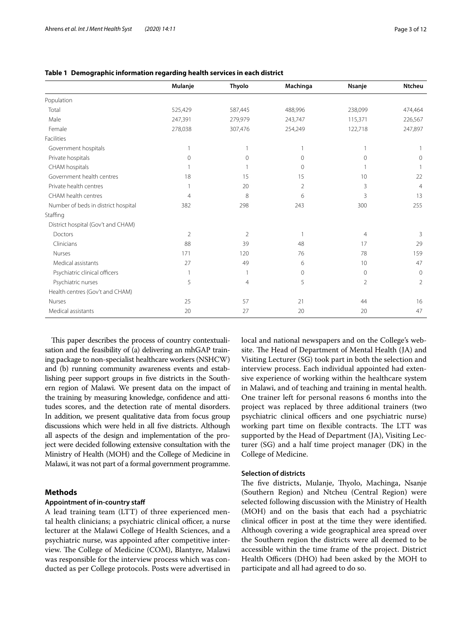|                                     | Mulanje        | <b>Thyolo</b>  | Machinga       | Nsanje   | <b>Ntcheu</b>  |
|-------------------------------------|----------------|----------------|----------------|----------|----------------|
| Population                          |                |                |                |          |                |
| Total                               | 525,429        | 587,445        | 488,996        | 238,099  | 474,464        |
| Male                                | 247,391        | 279,979        | 243,747        | 115,371  | 226,567        |
| Female                              | 278,038        | 307,476        | 254,249        | 122,718  | 247,897        |
| Facilities                          |                |                |                |          |                |
| Government hospitals                | 1              |                | 1              |          |                |
| Private hospitals                   | $\mathbf{0}$   | $\Omega$       | $\circ$        | $\Omega$ | 0              |
| CHAM hospitals                      |                |                | $\circ$        |          |                |
| Government health centres           | 18             | 15             | 15             | 10       | 22             |
| Private health centres              | 1              | 20             | $\overline{2}$ | 3        | $\overline{4}$ |
| CHAM health centres                 | $\overline{4}$ | 8              | 6              | 3        | 13             |
| Number of beds in district hospital | 382            | 298            | 243            | 300      | 255            |
| Staffing                            |                |                |                |          |                |
| District hospital (Gov't and CHAM)  |                |                |                |          |                |
| Doctors                             | $\overline{2}$ | 2              | $\mathbf{1}$   | 4        | 3              |
| Clinicians                          | 88             | 39             | 48             | 17       | 29             |
| Nurses                              | 171            | 120            | 76             | 78       | 159            |
| Medical assistants                  | 27             | 49             | 6              | 10       | 47             |
| Psychiatric clinical officers       | $\mathbf{1}$   |                | $\mathbf{0}$   | $\circ$  | $\Omega$       |
| Psychiatric nurses                  | 5              | $\overline{4}$ | 5              | 2        | 2              |
| Health centres (Gov't and CHAM)     |                |                |                |          |                |
| Nurses                              | 25             | 57             | 21             | 44       | 16             |
| Medical assistants                  | 20             | 27             | 20             | 20       | 47             |

#### <span id="page-2-0"></span>**Table 1 Demographic information regarding health services in each district**

This paper describes the process of country contextualisation and the feasibility of (a) delivering an mhGAP training package to non-specialist healthcare workers (NSHCW) and (b) running community awareness events and establishing peer support groups in fve districts in the Southern region of Malawi. We present data on the impact of the training by measuring knowledge, confdence and attitudes scores, and the detection rate of mental disorders. In addition, we present qualitative data from focus group discussions which were held in all fve districts. Although all aspects of the design and implementation of the project were decided following extensive consultation with the Ministry of Health (MOH) and the College of Medicine in Malawi, it was not part of a formal government programme.

## **Methods**

## **Appointment of in‑country staf**

A lead training team (LTT) of three experienced mental health clinicians; a psychiatric clinical officer, a nurse lecturer at the Malawi College of Health Sciences, and a psychiatric nurse, was appointed after competitive interview. The College of Medicine (COM), Blantyre, Malawi was responsible for the interview process which was conducted as per College protocols. Posts were advertised in local and national newspapers and on the College's website. The Head of Department of Mental Health (JA) and Visiting Lecturer (SG) took part in both the selection and interview process. Each individual appointed had extensive experience of working within the healthcare system in Malawi, and of teaching and training in mental health. One trainer left for personal reasons 6 months into the project was replaced by three additional trainers (two psychiatric clinical officers and one psychiatric nurse) working part time on flexible contracts. The LTT was supported by the Head of Department (JA), Visiting Lecturer (SG) and a half time project manager (DK) in the College of Medicine.

#### **Selection of districts**

The five districts, Mulanje, Thyolo, Machinga, Nsanje (Southern Region) and Ntcheu (Central Region) were selected following discussion with the Ministry of Health (MOH) and on the basis that each had a psychiatric clinical officer in post at the time they were identified. Although covering a wide geographical area spread over the Southern region the districts were all deemed to be accessible within the time frame of the project. District Health Officers (DHO) had been asked by the MOH to participate and all had agreed to do so.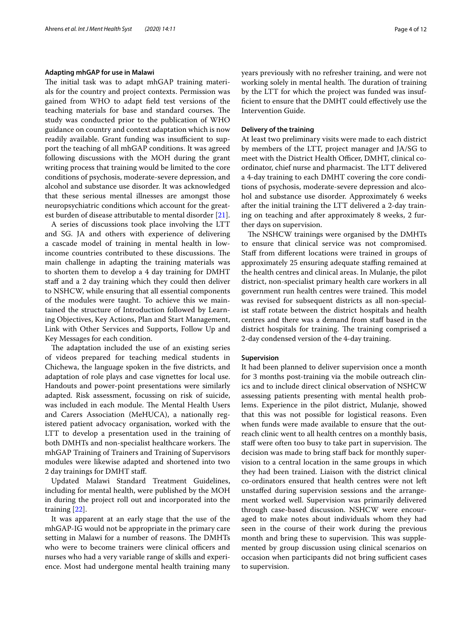#### **Adapting mhGAP for use in Malawi**

The initial task was to adapt mhGAP training materials for the country and project contexts. Permission was gained from WHO to adapt feld test versions of the teaching materials for base and standard courses. The study was conducted prior to the publication of WHO guidance on country and context adaptation which is now readily available. Grant funding was insufficient to support the teaching of all mhGAP conditions. It was agreed following discussions with the MOH during the grant writing process that training would be limited to the core conditions of psychosis, moderate-severe depression, and alcohol and substance use disorder. It was acknowledged that these serious mental illnesses are amongst those neuropsychiatric conditions which account for the greatest burden of disease attributable to mental disorder [\[21\]](#page-11-18).

A series of discussions took place involving the LTT and SG. JA and others with experience of delivering a cascade model of training in mental health in lowincome countries contributed to these discussions. The main challenge in adapting the training materials was to shorten them to develop a 4 day training for DMHT staff and a 2 day training which they could then deliver to NSHCW, while ensuring that all essential components of the modules were taught. To achieve this we maintained the structure of Introduction followed by Learning Objectives, Key Actions, Plan and Start Management, Link with Other Services and Supports, Follow Up and Key Messages for each condition.

The adaptation included the use of an existing series of videos prepared for teaching medical students in Chichewa, the language spoken in the fve districts, and adaptation of role plays and case vignettes for local use. Handouts and power-point presentations were similarly adapted. Risk assessment, focussing on risk of suicide, was included in each module. The Mental Health Users and Carers Association (MeHUCA), a nationally registered patient advocacy organisation, worked with the LTT to develop a presentation used in the training of both DMHTs and non-specialist healthcare workers. The mhGAP Training of Trainers and Training of Supervisors modules were likewise adapted and shortened into two 2 day trainings for DMHT staf.

Updated Malawi Standard Treatment Guidelines, including for mental health, were published by the MOH in during the project roll out and incorporated into the training [[22](#page-11-19)].

It was apparent at an early stage that the use of the mhGAP-IG would not be appropriate in the primary care setting in Malawi for a number of reasons. The DMHTs who were to become trainers were clinical officers and nurses who had a very variable range of skills and experience. Most had undergone mental health training many years previously with no refresher training, and were not working solely in mental health. The duration of training by the LTT for which the project was funded was insuffcient to ensure that the DMHT could efectively use the Intervention Guide.

## **Delivery of the training**

At least two preliminary visits were made to each district by members of the LTT, project manager and JA/SG to meet with the District Health Officer, DMHT, clinical coordinator, chief nurse and pharmacist. The LTT delivered a 4-day training to each DMHT covering the core conditions of psychosis, moderate-severe depression and alcohol and substance use disorder. Approximately 6 weeks after the initial training the LTT delivered a 2-day training on teaching and after approximately 8 weeks, 2 further days on supervision.

The NSHCW trainings were organised by the DMHTs to ensure that clinical service was not compromised. Staff from different locations were trained in groups of approximately 25 ensuring adequate staffing remained at the health centres and clinical areas. In Mulanje, the pilot district, non-specialist primary health care workers in all government run health centres were trained. This model was revised for subsequent districts as all non-specialist staff rotate between the district hospitals and health centres and there was a demand from staf based in the district hospitals for training. The training comprised a 2-day condensed version of the 4-day training.

#### **Supervision**

It had been planned to deliver supervision once a month for 3 months post-training via the mobile outreach clinics and to include direct clinical observation of NSHCW assessing patients presenting with mental health problems. Experience in the pilot district, Mulanje, showed that this was not possible for logistical reasons. Even when funds were made available to ensure that the outreach clinic went to all health centres on a monthly basis, staff were often too busy to take part in supervision. The decision was made to bring staff back for monthly supervision to a central location in the same groups in which they had been trained. Liaison with the district clinical co-ordinators ensured that health centres were not left unstafed during supervision sessions and the arrangement worked well. Supervision was primarily delivered through case-based discussion. NSHCW were encouraged to make notes about individuals whom they had seen in the course of their work during the previous month and bring these to supervision. This was supplemented by group discussion using clinical scenarios on occasion when participants did not bring sufficient cases to supervision.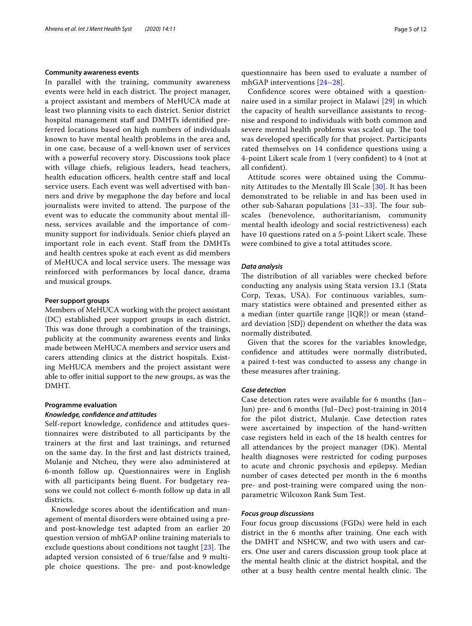#### **Community awareness events**

In parallel with the training, community awareness events were held in each district. The project manager, a project assistant and members of MeHUCA made at least two planning visits to each district. Senior district hospital management staff and DMHTs identified preferred locations based on high numbers of individuals known to have mental health problems in the area and, in one case, because of a well-known user of services with a powerful recovery story. Discussions took place with village chiefs, religious leaders, head teachers, health education officers, health centre staff and local service users. Each event was well advertised with banners and drive by megaphone the day before and local journalists were invited to attend. The purpose of the event was to educate the community about mental illness, services available and the importance of community support for individuals. Senior chiefs played an important role in each event. Staf from the DMHTs and health centres spoke at each event as did members of MeHUCA and local service users. The message was reinforced with performances by local dance, drama and musical groups.

#### **Peer support groups**

Members of MeHUCA working with the project assistant (DC) established peer support groups in each district. This was done through a combination of the trainings, publicity at the community awareness events and links made between MeHUCA members and service users and carers attending clinics at the district hospitals. Existing MeHUCA members and the project assistant were able to offer initial support to the new groups, as was the DMHT.

# **Programme evaluation**

# *Knowledge, confdence and attitudes*

Self-report knowledge, confdence and attitudes questionnaires were distributed to all participants by the trainers at the frst and last trainings, and returned on the same day. In the frst and last districts trained, Mulanje and Ntcheu, they were also administered at 6-month follow up. Questionnaires were in English with all participants being fuent. For budgetary reasons we could not collect 6-month follow up data in all districts.

Knowledge scores about the identifcation and management of mental disorders were obtained using a preand post-knowledge test adapted from an earlier 20 question version of mhGAP online training materials to exclude questions about conditions not taught  $[23]$  $[23]$ . The adapted version consisted of 6 true/false and 9 multiple choice questions. The pre- and post-knowledge

questionnaire has been used to evaluate a number of mhGAP interventions [\[24](#page-11-21)[–28\]](#page-11-22).

Confdence scores were obtained with a questionnaire used in a similar project in Malawi [\[29](#page-11-23)] in which the capacity of health surveillance assistants to recognise and respond to individuals with both common and severe mental health problems was scaled up. The tool was developed specifcally for that project. Participants rated themselves on 14 confdence questions using a 4-point Likert scale from 1 (very confdent) to 4 (not at all confdent).

Attitude scores were obtained using the Community Attitudes to the Mentally Ill Scale [\[30](#page-11-24)]. It has been demonstrated to be reliable in and has been used in other sub-Saharan populations  $[31-33]$  $[31-33]$  $[31-33]$ . The four subscales (benevolence, authoritarianism, community mental health ideology and social restrictiveness) each have 10 questions rated on a 5-point Likert scale. These were combined to give a total attitudes score.

#### *Data analysis*

The distribution of all variables were checked before conducting any analysis using Stata version 13.1 (Stata Corp, Texas, USA). For continuous variables, summary statistics were obtained and presented either as a median (inter quartile range [IQR]) or mean (standard deviation [SD]) dependent on whether the data was normally distributed.

Given that the scores for the variables knowledge, confdence and attitudes were normally distributed, a paired t-test was conducted to assess any change in these measures after training.

#### *Case detection*

Case detection rates were available for 6 months (Jan– Jun) pre- and 6 months (Jul–Dec) post-training in 2014 for the pilot district, Mulanje. Case detection rates were ascertained by inspection of the hand-written case registers held in each of the 18 health centres for all attendances by the project manager (DK). Mental health diagnoses were restricted for coding purposes to acute and chronic psychosis and epilepsy. Median number of cases detected per month in the 6 months pre- and post-training were compared using the nonparametric Wilcoxon Rank Sum Test.

#### *Focus group discussions*

Four focus group discussions (FGDs) were held in each district in the 6 months after training. One each with the DMHT and NSHCW, and two with users and carers. One user and carers discussion group took place at the mental health clinic at the district hospital, and the other at a busy health centre mental health clinic. The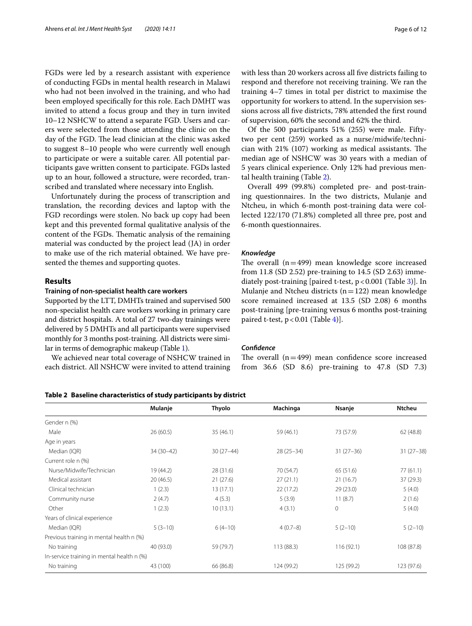FGDs were led by a research assistant with experience of conducting FGDs in mental health research in Malawi who had not been involved in the training, and who had been employed specifcally for this role. Each DMHT was invited to attend a focus group and they in turn invited 10–12 NSHCW to attend a separate FGD. Users and carers were selected from those attending the clinic on the day of the FGD. The lead clinician at the clinic was asked to suggest 8–10 people who were currently well enough to participate or were a suitable carer. All potential participants gave written consent to participate. FGDs lasted up to an hour, followed a structure, were recorded, transcribed and translated where necessary into English.

Unfortunately during the process of transcription and translation, the recording devices and laptop with the FGD recordings were stolen. No back up copy had been kept and this prevented formal qualitative analysis of the content of the FGDs. Thematic analysis of the remaining material was conducted by the project lead (JA) in order to make use of the rich material obtained. We have presented the themes and supporting quotes.

#### **Results**

#### **Training of non‑specialist health care workers**

Supported by the LTT, DMHTs trained and supervised 500 non-specialist health care workers working in primary care and district hospitals. A total of 27 two-day trainings were delivered by 5 DMHTs and all participants were supervised monthly for 3 months post-training. All districts were similar in terms of demographic makeup (Table [1\)](#page-2-0).

We achieved near total coverage of NSHCW trained in each district. All NSHCW were invited to attend training with less than 20 workers across all fve districts failing to respond and therefore not receiving training. We ran the training 4–7 times in total per district to maximise the opportunity for workers to attend. In the supervision sessions across all fve districts, 78% attended the frst round of supervision, 60% the second and 62% the third.

Of the 500 participants 51% (255) were male. Fiftytwo per cent (259) worked as a nurse/midwife/technician with  $21\%$  (107) working as medical assistants. The median age of NSHCW was 30 years with a median of 5 years clinical experience. Only 12% had previous mental health training (Table [2\)](#page-5-0).

Overall 499 (99.8%) completed pre- and post-training questionnaires. In the two districts, Mulanje and Ntcheu, in which 6-month post-training data were collected 122/170 (71.8%) completed all three pre, post and 6-month questionnaires.

#### *Knowledge*

The overall  $(n=499)$  mean knowledge score increased from 11.8 (SD 2.52) pre-training to 14.5 (SD 2.63) immediately post-training [paired t-test,  $p < 0.001$  (Table [3\)](#page-6-0)]. In Mulanje and Ntcheu districts ( $n=122$ ) mean knowledge score remained increased at 13.5 (SD 2.08) 6 months post-training [pre-training versus 6 months post-training paired t-test,  $p < 0.01$  (Table [4](#page-6-1))].

#### *Confdence*

The overall  $(n=499)$  mean confidence score increased from 36.6 (SD 8.6) pre-training to 47.8 (SD 7.3)

<span id="page-5-0"></span>

|  |  | Table 2 Baseline characteristics of study participants by district |  |  |  |  |  |
|--|--|--------------------------------------------------------------------|--|--|--|--|--|
|--|--|--------------------------------------------------------------------|--|--|--|--|--|

|                                            | Mulanje     | Thyolo      | Machinga    | Nsanje       | <b>Ntcheu</b> |
|--------------------------------------------|-------------|-------------|-------------|--------------|---------------|
| Gender n (%)                               |             |             |             |              |               |
| Male                                       | 26(60.5)    | 35(46.1)    | 59 (46.1)   | 73 (57.9)    | 62(48.8)      |
| Age in years                               |             |             |             |              |               |
| Median (IQR)                               | $34(30-42)$ | $30(27-44)$ | $28(25-34)$ | $31(27-36)$  | $31(27-38)$   |
| Current role n (%)                         |             |             |             |              |               |
| Nurse/Midwife/Technician                   | 19 (44.2)   | 28 (31.6)   | 70 (54.7)   | 65(51.6)     | 77(61.1)      |
| Medical assistant                          | 20(46.5)    | 21(27.6)    | 27(21.1)    | 21(16.7)     | 37(29.3)      |
| Clinical technician                        | 1(2.3)      | 13(17.1)    | 22(17.2)    | 29 (23.0)    | 5(4.0)        |
| Community nurse                            | 2(4.7)      | 4(5.3)      | 5(3.9)      | 11(8.7)      | 2(1.6)        |
| Other                                      | 1(2.3)      | 10(13.1)    | 4(3.1)      | $\mathbf{0}$ | 5(4.0)        |
| Years of clinical experience               |             |             |             |              |               |
| Median (IQR)                               | $5(3-10)$   | $6(4-10)$   | $4(0.7-8)$  | $5(2-10)$    | $5(2-10)$     |
| Previous training in mental health n (%)   |             |             |             |              |               |
| No training                                | 40 (93.0)   | 59 (79.7)   | 113(88.3)   | 116(92.1)    | 108 (87.8)    |
| In-service training in mental health n (%) |             |             |             |              |               |
| No training                                | 43 (100)    | 66 (86.8)   | 124 (99.2)  | 125 (99.2)   | 123 (97.6)    |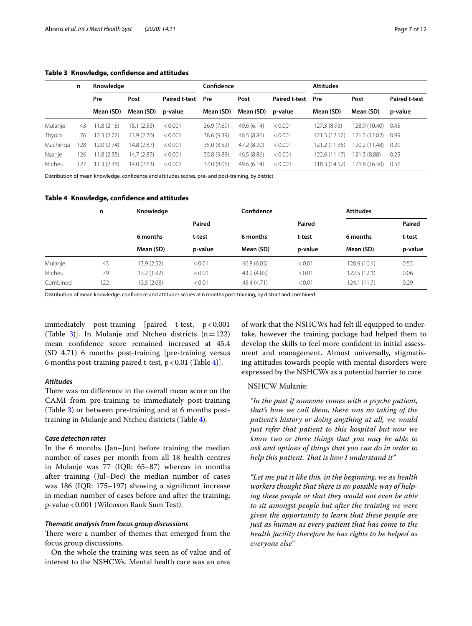<span id="page-6-0"></span>

|          | n   | Knowledae      |                |                      | Confidence  |             |                      | <b>Attitudes</b> |               |                      |
|----------|-----|----------------|----------------|----------------------|-------------|-------------|----------------------|------------------|---------------|----------------------|
|          |     | Pre            | Post           | <b>Paired t-test</b> | Pre         | Post        | <b>Paired t-test</b> | Pre              | Post          | <b>Paired t-test</b> |
|          |     | Mean (SD)      | Mean (SD)      | p-value              | Mean (SD)   | Mean (SD)   | p-value              | Mean (SD)        | Mean (SD)     | p-value              |
| Mulanje  | 43  | .8(2.16)<br>11 | (2.53)<br>15.1 | < 0.001              | 36.9 (7.69) | 49.6 (6.14) | < 0.001              | 127.3 (8.93)     | 128.9 (10.40) | 0.45                 |
| Thyolo   | 76  | 12.3(2.72)     | 13.9 (2.70)    | < 0.001              | 38.6 (9.39) | 46.5 (8.86) | < 0.001              | 121.3 (12.12)    | 121.5 (12.82) | 0.99                 |
| Machinga | 28  | 12.0(2.74)     | 14.8 (2.87)    | < 0.001              | 35.0 (8.52) | 47.2 (8.20) | < 0.001              | 121.2 (11.35)    | 120.2 (11.48) | 0.29                 |
| Nsanje   | 126 | 11.8(2.35)     | 14.7 (2.87)    | < 0.001              | 35.8 (9.89) | 46.5 (8.86) | < 0.001              | 122.6 (11.17)    | 121.3 (8.88)  | 0.25                 |
| Ntcheu   | 127 | 11.3(2.38)     | 14.0 (2.63)    | < 0.001              | 37.0 (8.06) | 49.6 (6.14) | < 0.001              | 118.3 (14.52)    | 121.8 (16.50) | 0.56                 |

Distribution of mean knowledge, confdence and attitudes scores, pre- and post-training, by district

#### <span id="page-6-1"></span>**Table 4 Knowledge, confdence and attitudes**

|          | n   | Knowledge   |         | Confidence  |         | <b>Attitudes</b> |         |
|----------|-----|-------------|---------|-------------|---------|------------------|---------|
|          |     |             | Paired  |             | Paired  |                  | Paired  |
|          |     | 6 months    | t-test  | 6 months    | t-test  | 6 months         | t-test  |
|          |     | Mean (SD)   | p-value | Mean (SD)   | p-value | Mean (SD)        | p-value |
| Mulanje  | 43  | 13.9(2.52)  | < 0.01  | 46.8(6.03)  | < 0.01  | 128.9 (10.4)     | 0.55    |
| Ntcheu   | 79  | 13.2 (1.92) | < 0.01  | 43.9 (4.85) | < 0.01  | 122.5 (12.1)     | 0.06    |
| Combined | 122 | 13.5 (2.08) | < 0.01  | 45.4 (4.71) | < 0.01  | 124.1 (11.7)     | 0.29    |

Distribution of mean knowledge, confdence and attitudes scores at 6 months post-training, by district and combined

immediately post-training [paired t-test,  $p < 0.001$ (Table [3](#page-6-0)). In Mulanje and Ntcheu districts  $(n=122)$ mean confdence score remained increased at 45.4 (SD 4.71) 6 months post-training [pre-training versus 6 months post-training paired t-test,  $p < 0.01$  (Table [4\)](#page-6-1)].

#### *Attitudes*

There was no difference in the overall mean score on the CAMI from pre-training to immediately post-training (Table [3](#page-6-0)) or between pre-training and at 6 months posttraining in Mulanje and Ntcheu districts (Table [4](#page-6-1)).

#### *Case detection rates*

In the 6 months (Jan–Jun) before training the median number of cases per month from all 18 health centres in Mulanje was 77 (IQR: 65–87) whereas in months after training (Jul–Dec) the median number of cases was 186 (IQR: 175–197) showing a signifcant increase in median number of cases before and after the training; p-value<0.001 (Wilcoxon Rank Sum Test).

#### *Thematic analysis from focus group discussions*

There were a number of themes that emerged from the focus group discussions.

On the whole the training was seen as of value and of interest to the NSHCWs. Mental health care was an area

of work that the NSHCWs had felt ill equipped to undertake, however the training package had helped them to develop the skills to feel more confdent in initial assessment and management. Almost universally, stigmatising attitudes towards people with mental disorders were expressed by the NSHCWs as a potential barrier to care.

#### NSHCW Mulanje:

*"In the past if someone comes with a psyche patient, that's how we call them, there was no taking of the patient's history or doing anything at all, we would just refer that patient to this hospital but now we know two or three things that you may be able to ask and options of things that you can do in order to help this patient. Tat is how I understand it"*

*"Let me put it like this, in the beginning, we as health workers thought that there is no possible way of helping these people or that they would not even be able to sit amongst people but after the training we were given the opportunity to learn that these people are just as human as every patient that has come to the health facility therefore he has rights to be helped as everyone else"*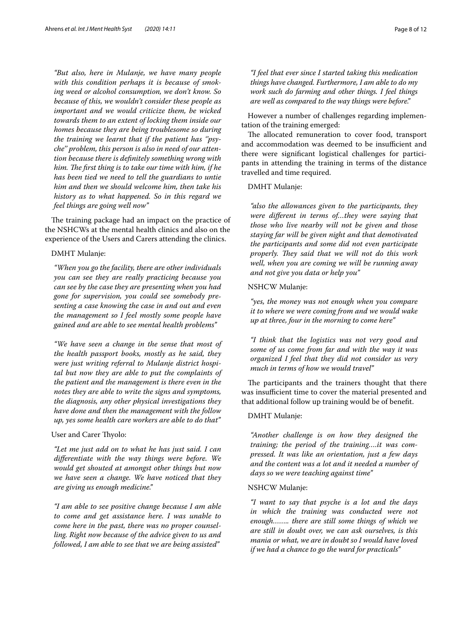*"But also, here in Mulanje, we have many people with this condition perhaps it is because of smoking weed or alcohol consumption, we don't know. So because of this, we wouldn't consider these people as important and we would criticize them, be wicked towards them to an extent of locking them inside our homes because they are being troublesome so during the training we learnt that if the patient has ''psyche'' problem, this person is also in need of our attention because there is defnitely something wrong with*  him. The first thing is to take our time with him, if he *has been tied we need to tell the guardians to untie him and then we should welcome him, then take his history as to what happened. So in this regard we feel things are going well now"*

The training package had an impact on the practice of the NSHCWs at the mental health clinics and also on the experience of the Users and Carers attending the clinics.

#### DMHT Mulanje:

*"When you go the facility, there are other individuals you can see they are really practicing because you can see by the case they are presenting when you had gone for supervision, you could see somebody presenting a case knowing the case in and out and even the management so I feel mostly some people have gained and are able to see mental health problems"*

*"We have seen a change in the sense that most of the health passport books, mostly as he said, they were just writing referral to Mulanje district hospital but now they are able to put the complaints of the patient and the management is there even in the notes they are able to write the signs and symptoms, the diagnosis, any other physical investigations they have done and then the management with the follow up, yes some health care workers are able to do that"*

## User and Carer Thyolo:

*"Let me just add on to what he has just said. I can diferentiate with the way things were before. We would get shouted at amongst other things but now we have seen a change. We have noticed that they are giving us enough medicine."*

*"I am able to see positive change because I am able to come and get assistance here. I was unable to come here in the past, there was no proper counselling. Right now because of the advice given to us and followed, I am able to see that we are being assisted"*

*"I feel that ever since I started taking this medication things have changed. Furthermore, I am able to do my work such do farming and other things. I feel things are well as compared to the way things were before."*

However a number of challenges regarding implementation of the training emerged:

The allocated remuneration to cover food, transport and accommodation was deemed to be insufficient and there were signifcant logistical challenges for participants in attending the training in terms of the distance travelled and time required.

#### DMHT Mulanje:

*"also the allowances given to the participants, they were diferent in terms of…they were saying that those who live nearby will not be given and those staying far will be given night and that demotivated the participants and some did not even participate properly. They said that we will not do this work well, when you are coming we will be running away and not give you data or help you"*

#### NSHCW Mulanje:

*"yes, the money was not enough when you compare it to where we were coming from and we would wake up at three, four in the morning to come here"*

*"I think that the logistics was not very good and some of us come from far and with the way it was organized I feel that they did not consider us very much in terms of how we would travel"*

The participants and the trainers thought that there was insufficient time to cover the material presented and that additional follow up training would be of beneft.

#### DMHT Mulanje:

*"Another challenge is on how they designed the training; the period of the training….it was compressed. It was like an orientation, just a few days and the content was a lot and it needed a number of days so we were teaching against time"*

## NSHCW Mulanje:

*"I want to say that psyche is a lot and the days in which the training was conducted were not enough…….. there are still some things of which we are still in doubt over, we can ask ourselves, is this mania or what, we are in doubt so I would have loved if we had a chance to go the ward for practicals"*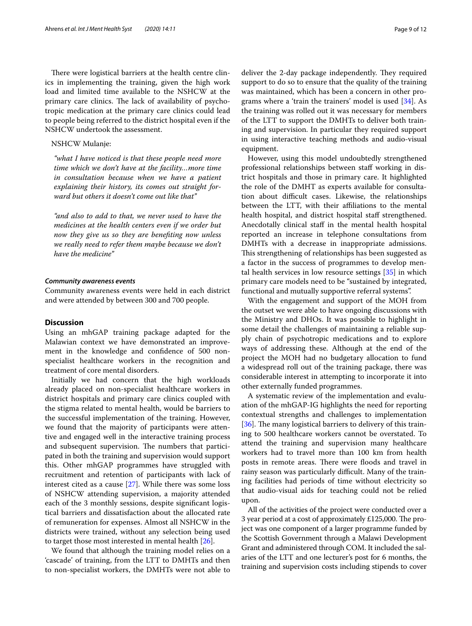There were logistical barriers at the health centre clinics in implementing the training, given the high work load and limited time available to the NSHCW at the primary care clinics. The lack of availability of psychotropic medication at the primary care clinics could lead to people being referred to the district hospital even if the NSHCW undertook the assessment.

# NSHCW Mulanje:

*"what I have noticed is that these people need more time which we don't have at the facility…more time in consultation because when we have a patient explaining their history, its comes out straight forward but others it doesn't come out like that"*

*"and also to add to that, we never used to have the medicines at the health centers even if we order but now they give us so they are benefting now unless we really need to refer them maybe because we don't have the medicine"*

#### *Community awareness events*

Community awareness events were held in each district and were attended by between 300 and 700 people.

#### **Discussion**

Using an mhGAP training package adapted for the Malawian context we have demonstrated an improvement in the knowledge and confdence of 500 nonspecialist healthcare workers in the recognition and treatment of core mental disorders.

Initially we had concern that the high workloads already placed on non-specialist healthcare workers in district hospitals and primary care clinics coupled with the stigma related to mental health, would be barriers to the successful implementation of the training. However, we found that the majority of participants were attentive and engaged well in the interactive training process and subsequent supervision. The numbers that participated in both the training and supervision would support this. Other mhGAP programmes have struggled with recruitment and retention of participants with lack of interest cited as a cause [\[27](#page-11-27)]. While there was some loss of NSHCW attending supervision, a majority attended each of the 3 monthly sessions, despite signifcant logistical barriers and dissatisfaction about the allocated rate of remuneration for expenses. Almost all NSHCW in the districts were trained, without any selection being used to target those most interested in mental health [[26\]](#page-11-28).

We found that although the training model relies on a 'cascade' of training, from the LTT to DMHTs and then to non-specialist workers, the DMHTs were not able to deliver the 2-day package independently. They required support to do so to ensure that the quality of the training was maintained, which has been a concern in other programs where a 'train the trainers' model is used [\[34](#page-11-29)]. As the training was rolled out it was necessary for members of the LTT to support the DMHTs to deliver both training and supervision. In particular they required support in using interactive teaching methods and audio-visual equipment.

However, using this model undoubtedly strengthened professional relationships between staff working in district hospitals and those in primary care. It highlighted the role of the DMHT as experts available for consultation about difficult cases. Likewise, the relationships between the LTT, with their affiliations to the mental health hospital, and district hospital staff strengthened. Anecdotally clinical staff in the mental health hospital reported an increase in telephone consultations from DMHTs with a decrease in inappropriate admissions. This strengthening of relationships has been suggested as a factor in the success of programmes to develop mental health services in low resource settings [[35](#page-11-30)] in which primary care models need to be "sustained by integrated, functional and mutually supportive referral systems".

With the engagement and support of the MOH from the outset we were able to have ongoing discussions with the Ministry and DHOs. It was possible to highlight in some detail the challenges of maintaining a reliable supply chain of psychotropic medications and to explore ways of addressing these. Although at the end of the project the MOH had no budgetary allocation to fund a widespread roll out of the training package, there was considerable interest in attempting to incorporate it into other externally funded programmes.

A systematic review of the implementation and evaluation of the mhGAP-IG highlights the need for reporting contextual strengths and challenges to implementation [ $36$ ]. The many logistical barriers to delivery of this training to 500 healthcare workers cannot be overstated. To attend the training and supervision many healthcare workers had to travel more than 100 km from health posts in remote areas. There were floods and travel in rainy season was particularly difficult. Many of the training facilities had periods of time without electricity so that audio-visual aids for teaching could not be relied upon.

All of the activities of the project were conducted over a 3 year period at a cost of approximately  $£125,000$ . The project was one component of a larger programme funded by the Scottish Government through a Malawi Development Grant and administered through COM. It included the salaries of the LTT and one lecturer's post for 6 months, the training and supervision costs including stipends to cover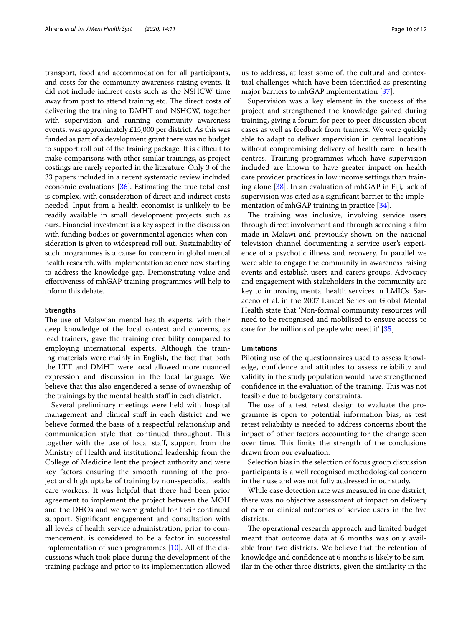transport, food and accommodation for all participants, and costs for the community awareness raising events. It did not include indirect costs such as the NSHCW time away from post to attend training etc. The direct costs of delivering the training to DMHT and NSHCW, together with supervision and running community awareness events, was approximately £15,000 per district. As this was funded as part of a development grant there was no budget to support roll out of the training package. It is difficult to make comparisons with other similar trainings, as project costings are rarely reported in the literature. Only 3 of the 33 papers included in a recent systematic review included economic evaluations [\[36\]](#page-11-31). Estimating the true total cost is complex, with consideration of direct and indirect costs needed. Input from a health economist is unlikely to be readily available in small development projects such as ours. Financial investment is a key aspect in the discussion with funding bodies or governmental agencies when consideration is given to widespread roll out. Sustainability of such programmes is a cause for concern in global mental health research, with implementation science now starting to address the knowledge gap. Demonstrating value and efectiveness of mhGAP training programmes will help to inform this debate.

#### **Strengths**

The use of Malawian mental health experts, with their deep knowledge of the local context and concerns, as lead trainers, gave the training credibility compared to employing international experts. Although the training materials were mainly in English, the fact that both the LTT and DMHT were local allowed more nuanced expression and discussion in the local language. We believe that this also engendered a sense of ownership of the trainings by the mental health staf in each district.

Several preliminary meetings were held with hospital management and clinical staff in each district and we believe formed the basis of a respectful relationship and communication style that continued throughout. This together with the use of local staf, support from the Ministry of Health and institutional leadership from the College of Medicine lent the project authority and were key factors ensuring the smooth running of the project and high uptake of training by non-specialist health care workers. It was helpful that there had been prior agreement to implement the project between the MOH and the DHOs and we were grateful for their continued support. Signifcant engagement and consultation with all levels of health service administration, prior to commencement, is considered to be a factor in successful implementation of such programmes [\[10](#page-11-8)]. All of the discussions which took place during the development of the training package and prior to its implementation allowed

us to address, at least some of, the cultural and contextual challenges which have been identifed as presenting major barriers to mhGAP implementation [[37](#page-11-32)].

Supervision was a key element in the success of the project and strengthened the knowledge gained during training, giving a forum for peer to peer discussion about cases as well as feedback from trainers. We were quickly able to adapt to deliver supervision in central locations without compromising delivery of health care in health centres. Training programmes which have supervision included are known to have greater impact on health care provider practices in low income settings than training alone [\[38](#page-11-33)]. In an evaluation of mhGAP in Fiji, lack of supervision was cited as a signifcant barrier to the imple-mentation of mhGAP training in practice [[34](#page-11-29)].

The training was inclusive, involving service users through direct involvement and through screening a flm made in Malawi and previously shown on the national television channel documenting a service user's experience of a psychotic illness and recovery. In parallel we were able to engage the community in awareness raising events and establish users and carers groups. Advocacy and engagement with stakeholders in the community are key to improving mental health services in LMICs. Saraceno et al. in the 2007 Lancet Series on Global Mental Health state that 'Non-formal community resources will need to be recognised and mobilised to ensure access to care for the millions of people who need it' [\[35](#page-11-30)].

#### **Limitations**

Piloting use of the questionnaires used to assess knowledge, confdence and attitudes to assess reliability and validity in the study population would have strengthened confidence in the evaluation of the training. This was not feasible due to budgetary constraints.

The use of a test retest design to evaluate the programme is open to potential information bias, as test retest reliability is needed to address concerns about the impact of other factors accounting for the change seen over time. This limits the strength of the conclusions drawn from our evaluation.

Selection bias in the selection of focus group discussion participants is a well recognised methodological concern in their use and was not fully addressed in our study.

While case detection rate was measured in one district, there was no objective assessment of impact on delivery of care or clinical outcomes of service users in the fve districts.

The operational research approach and limited budget meant that outcome data at 6 months was only available from two districts. We believe that the retention of knowledge and confdence at 6 months is likely to be similar in the other three districts, given the similarity in the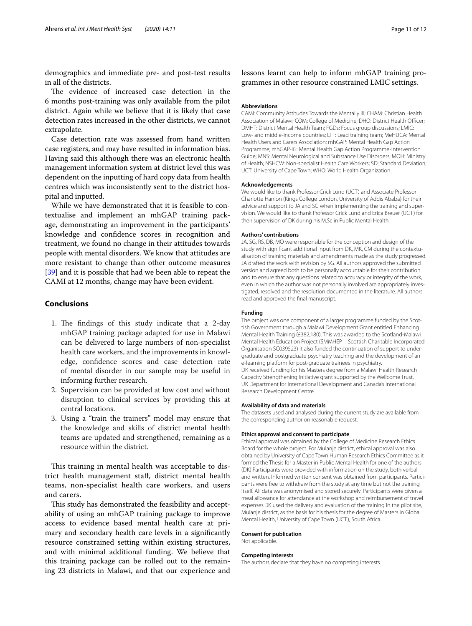demographics and immediate pre- and post-test results in all of the districts.

The evidence of increased case detection in the 6 months post-training was only available from the pilot district. Again while we believe that it is likely that case detection rates increased in the other districts, we cannot extrapolate.

Case detection rate was assessed from hand written case registers, and may have resulted in information bias. Having said this although there was an electronic health management information system at district level this was dependent on the inputting of hard copy data from health centres which was inconsistently sent to the district hospital and inputted.

While we have demonstrated that it is feasible to contextualise and implement an mhGAP training package, demonstrating an improvement in the participants' knowledge and confdence scores in recognition and treatment, we found no change in their attitudes towards people with mental disorders. We know that attitudes are more resistant to change than other outcome measures [[39\]](#page-11-34) and it is possible that had we been able to repeat the CAMI at 12 months, change may have been evident.

#### **Conclusions**

- 1. The findings of this study indicate that a 2-day mhGAP training package adapted for use in Malawi can be delivered to large numbers of non-specialist health care workers, and the improvements in knowledge, confdence scores and case detection rate of mental disorder in our sample may be useful in informing further research.
- 2. Supervision can be provided at low cost and without disruption to clinical services by providing this at central locations.
- 3. Using a "train the trainers" model may ensure that the knowledge and skills of district mental health teams are updated and strengthened, remaining as a resource within the district.

This training in mental health was acceptable to district health management staf, district mental health teams, non-specialist health care workers, and users and carers.

This study has demonstrated the feasibility and acceptability of using an mhGAP training package to improve access to evidence based mental health care at primary and secondary health care levels in a signifcantly resource constrained setting within existing structures, and with minimal additional funding. We believe that this training package can be rolled out to the remaining 23 districts in Malawi, and that our experience and

lessons learnt can help to inform mhGAP training programmes in other resource constrained LMIC settings.

#### **Abbreviations**

CAMI: Community Attitudes Towards the Mentally Ill; CHAM: Christian Health Association of Malawi; COM: College of Medicine; DHO: District Health Officer; DMHT: District Mental Health Team; FGDs: Focus group discussions; LMIC: Low- and middle-income countries; LTT: Lead training team; MeHUCA: Mental Health Users and Carers Association; mhGAP: Mental Health Gap Action Programme; mhGAP-IG: Mental Health Gap Action Programme-Intervention Guide; MNS: Mental Neurological and Substance Use Disorders; MOH: Ministry of Health; NSHCW: Non-specialist Health Care Workers; SD: Standard Deviation; UCT: University of Cape Town; WHO: World Health Organization.

#### **Acknowledgements**

We would like to thank Professor Crick Lund (UCT) and Associate Professor Charlotte Hanlon (Kings College London, University of Addis Ababa) for their advice and support to JA and SG when implementing the training and supervision. We would like to thank Professor Crick Lund and Erica Breuer (UCT) for their supervision of DK during his M.Sc in Public Mental Health.

#### **Authors' contributions**

JA, SG, RS, DB, MO were responsible for the conception and design of the study with signifcant additional input from DK, MK, CM during the contextualisation of training materials and amendments made as the study progressed. JA drafted the work with revision by SG. All authors approved the submitted version and agreed both to be personally accountable for their contribution and to ensure that any questions related to accuracy or integrity of the work, even in which the author was not personally involved are appropriately investigated, resolved and the resolution documented in the literature. All authors read and approved the fnal manuscript.

#### **Funding**

The project was one component of a larger programme funded by the Scottish Government through a Malawi Development Grant entitled Enhancing Mental Health Training (£382,180). This was awarded to the Scotland-Malawi Mental Health Education Project (SMMHEP—Scottish Charitable Incorporated Organisation SC039523) It also funded the continuation of support to undergraduate and postgraduate psychiatry teaching and the development of an e-learning platform for post-graduate trainees in psychiatry. DK received funding for his Masters degree from a Malawi Health Research Capacity Strengthening Initiative grant supported by the Wellcome Trust, UK Department for International Development and Canada's International Research Development Centre.

#### **Availability of data and materials**

The datasets used and analysed during the current study are available from the corresponding author on reasonable request.

#### **Ethics approval and consent to participate**

Ethical approval was obtained by the College of Medicine Research Ethics Board for the whole project. For Mulanje district, ethical approval was also obtained by University of Cape Town Human Research Ethics Committee as it formed the Thesis for a Master in Public Mental Health for one of the authors (DK).Participants were provided with information on the study, both verbal and written. Informed written consent was obtained from participants. Participants were free to withdraw from the study at any time but not the training itself. All data was anonymised and stored securely. Participants were given a meal allowance for attendance at the workshop and reimbursement of travel expenses.DK used the delivery and evaluation of the training in the pilot site, Mulanje district, as the basis for his thesis for the degree of Masters in Global Mental Health, University of Cape Town (UCT), South Africa.

#### **Consent for publication**

Not applicable.

#### **Competing interests**

The authors declare that they have no competing interests.